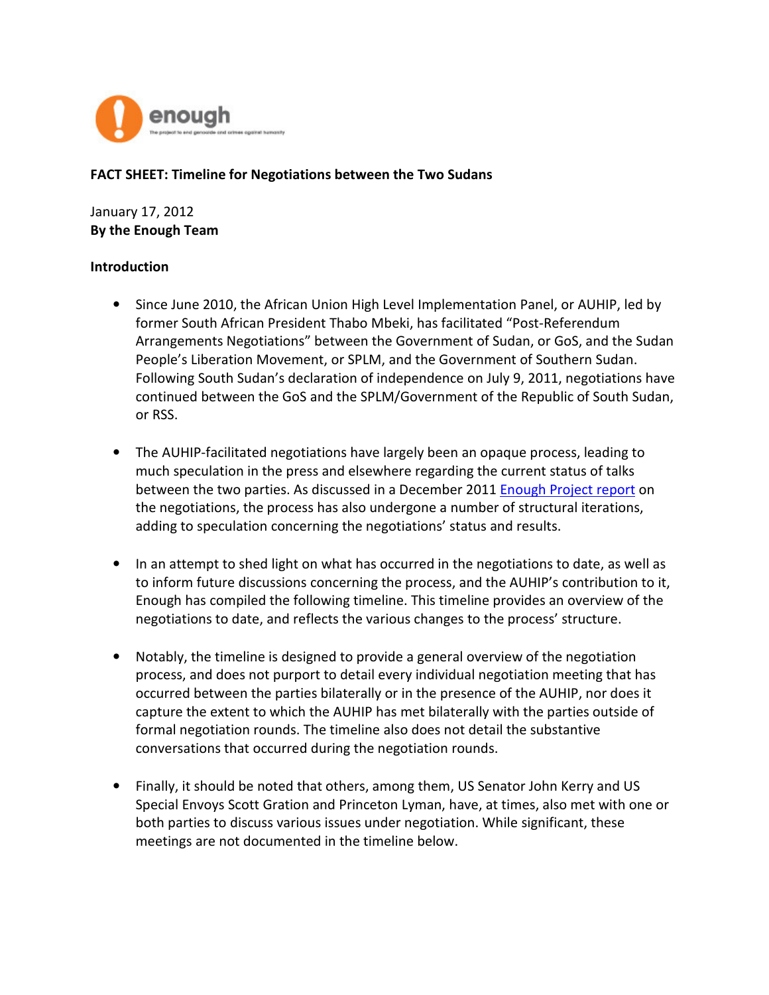

### FACT SHEET: Timeline for Negotiations between the Two Sudans

January 17, 2012 By the Enough Team

#### Introduction

- Since June 2010, the African Union High Level Implementation Panel, or AUHIP, led by former South African President Thabo Mbeki, has facilitated "Post-Referendum Arrangements Negotiations" between the Government of Sudan, or GoS, and the Sudan People's Liberation Movement, or SPLM, and the Government of Southern Sudan. Following South Sudan's declaration of independence on July 9, 2011, negotiations have continued between the GoS and the SPLM/Government of the Republic of South Sudan, or RSS.
- The AUHIP-facilitated negotiations have largely been an opaque process, leading to much speculation in the press and elsewhere regarding the current status of talks between the two parties. As discussed in a December 2011 Enough Project report on the negotiations, the process has also undergone a number of structural iterations, adding to speculation concerning the negotiations' status and results.
- In an attempt to shed light on what has occurred in the negotiations to date, as well as to inform future discussions concerning the process, and the AUHIP's contribution to it, Enough has compiled the following timeline. This timeline provides an overview of the negotiations to date, and reflects the various changes to the process' structure.
- Notably, the timeline is designed to provide a general overview of the negotiation process, and does not purport to detail every individual negotiation meeting that has occurred between the parties bilaterally or in the presence of the AUHIP, nor does it capture the extent to which the AUHIP has met bilaterally with the parties outside of formal negotiation rounds. The timeline also does not detail the substantive conversations that occurred during the negotiation rounds.
- Finally, it should be noted that others, among them, US Senator John Kerry and US Special Envoys Scott Gration and Princeton Lyman, have, at times, also met with one or both parties to discuss various issues under negotiation. While significant, these meetings are not documented in the timeline below.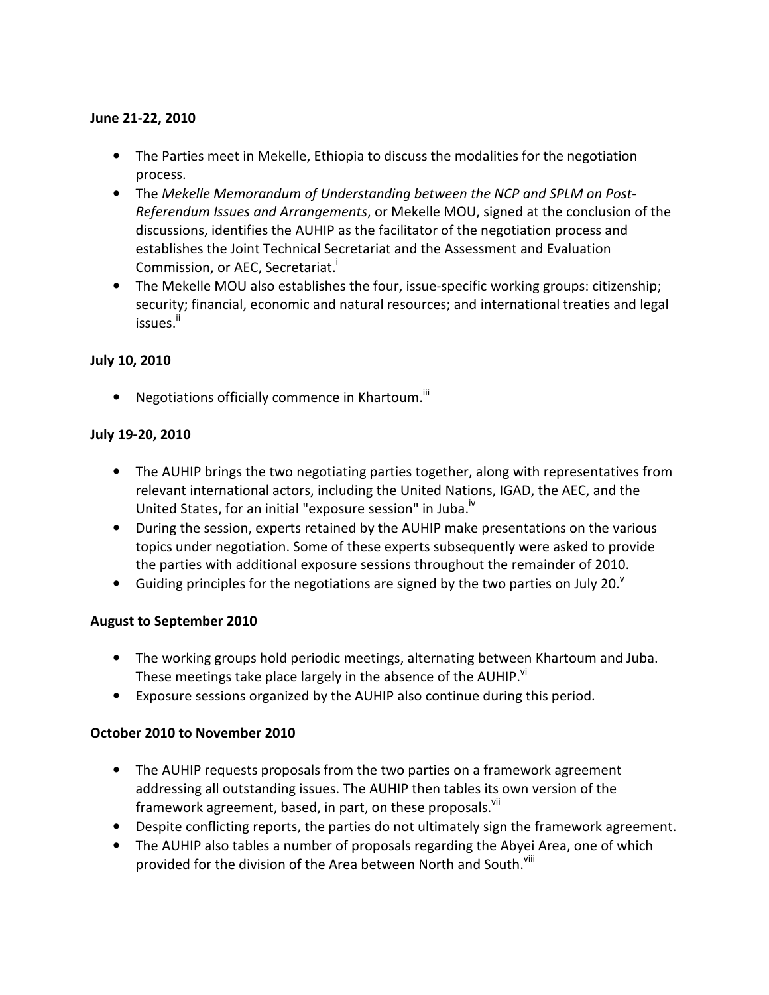### June 21-22, 2010

- The Parties meet in Mekelle, Ethiopia to discuss the modalities for the negotiation process.
- The Mekelle Memorandum of Understanding between the NCP and SPLM on Post-Referendum Issues and Arrangements, or Mekelle MOU, signed at the conclusion of the discussions, identifies the AUHIP as the facilitator of the negotiation process and establishes the Joint Technical Secretariat and the Assessment and Evaluation Commission, or AEC, Secretariat.<sup>1</sup>
- The Mekelle MOU also establishes the four, issue-specific working groups: citizenship; security; financial, economic and natural resources; and international treaties and legal issues.<sup>ii</sup>

# July 10, 2010

• Negotiations officially commence in Khartoum. $iiii$ 

# July 19-20, 2010

- The AUHIP brings the two negotiating parties together, along with representatives from relevant international actors, including the United Nations, IGAD, the AEC, and the United States, for an initial "exposure session" in Juba.<sup>iv</sup>
- During the session, experts retained by the AUHIP make presentations on the various topics under negotiation. Some of these experts subsequently were asked to provide the parties with additional exposure sessions throughout the remainder of 2010.
- Guiding principles for the negotiations are signed by the two parties on July 20. $^{\circ}$

# August to September 2010

- The working groups hold periodic meetings, alternating between Khartoum and Juba. These meetings take place largely in the absence of the AUHIP. $^{\text{vi}}$
- Exposure sessions organized by the AUHIP also continue during this period.

# October 2010 to November 2010

- The AUHIP requests proposals from the two parties on a framework agreement addressing all outstanding issues. The AUHIP then tables its own version of the framework agreement, based, in part, on these proposals.<sup>VII</sup>
- Despite conflicting reports, the parties do not ultimately sign the framework agreement.
- The AUHIP also tables a number of proposals regarding the Abyei Area, one of which provided for the division of the Area between North and South.<sup>Viii</sup>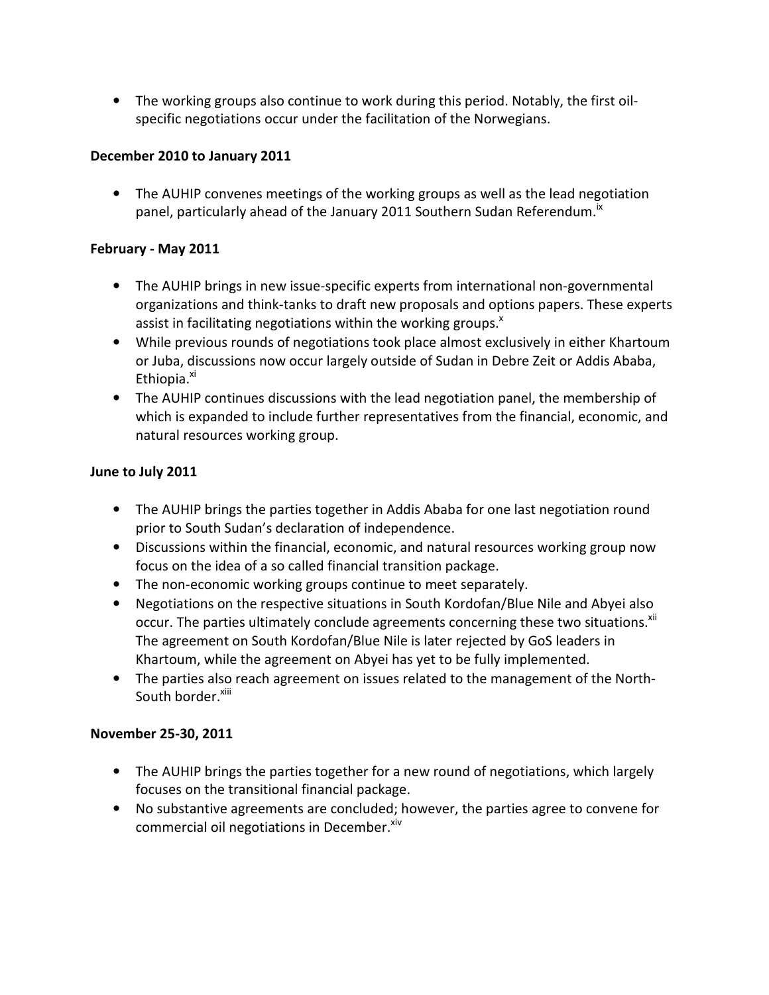• The working groups also continue to work during this period. Notably, the first oilspecific negotiations occur under the facilitation of the Norwegians.

## December 2010 to January 2011

• The AUHIP convenes meetings of the working groups as well as the lead negotiation panel, particularly ahead of the January 2011 Southern Sudan Referendum.<sup>18</sup>

## February - May 2011

- The AUHIP brings in new issue-specific experts from international non-governmental organizations and think-tanks to draft new proposals and options papers. These experts assist in facilitating negotiations within the working groups. $^x$
- While previous rounds of negotiations took place almost exclusively in either Khartoum or Juba, discussions now occur largely outside of Sudan in Debre Zeit or Addis Ababa, Ethiopia.<sup>XI</sup>
- The AUHIP continues discussions with the lead negotiation panel, the membership of which is expanded to include further representatives from the financial, economic, and natural resources working group.

### June to July 2011

- The AUHIP brings the parties together in Addis Ababa for one last negotiation round prior to South Sudan's declaration of independence.
- Discussions within the financial, economic, and natural resources working group now focus on the idea of a so called financial transition package.
- The non-economic working groups continue to meet separately.
- Negotiations on the respective situations in South Kordofan/Blue Nile and Abyei also occur. The parties ultimately conclude agreements concerning these two situations.<sup>xii</sup> The agreement on South Kordofan/Blue Nile is later rejected by GoS leaders in Khartoum, while the agreement on Abyei has yet to be fully implemented.
- The parties also reach agreement on issues related to the management of the North-South border.<sup>xiii</sup>

# November 25-30, 2011

- The AUHIP brings the parties together for a new round of negotiations, which largely focuses on the transitional financial package.
- No substantive agreements are concluded; however, the parties agree to convene for commercial oil negotiations in December.<sup>xiv</sup>